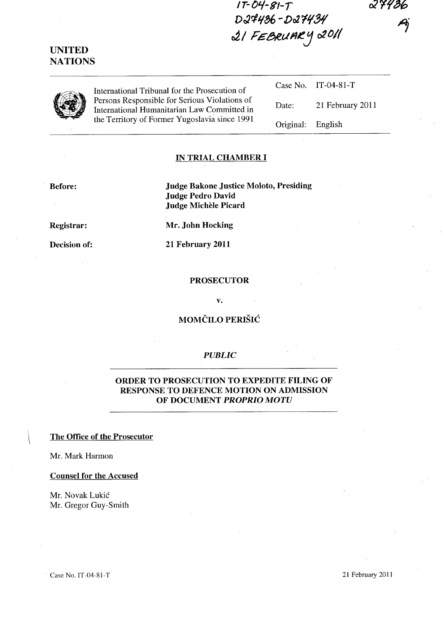**IT-O'-/-81-T**  D27436-D27434 **J,/** F£",e;,eul'J~.J *02011* 

| UNITED         |
|----------------|
| <b>NATIONS</b> |

International Tribunal for the Prosecution of Persons Responsible for Serious Violations of International Humanitarian Law Committed in the Territory of Former Yugoslavia since 1991

|                   | Case No. $IT-04-81-T$ |
|-------------------|-----------------------|
| Date:             | 21 February 2011      |
| Original: English |                       |

### **IN TRIAL CHAMBER I**

**Before:** 

**Judge Bakone Justice Moloto, Presiding Judge Pedro David Judge MicheIe Picard** 

**Registrar:** 

**Decision of:** 

**Mr. John Hocking** 

**21 February 2011** 

#### **PROSECUTOR**

**v.** 

## **MOMCILO PERISH:**

#### *PUBLIC*

## **ORDER TO PROSECUTION TO EXPEDITE FILING OF RESPONSE TO DEFENCE MOTION ON ADMISSION OF DOCUMENT** *PROPRIO MOTU*

### \ **The Office of the Prosecutor**

Mr. Mark Harmon

**Counsel for the Accused** 

Mr. Novak Lukic Mr. Gregor Guy-Smith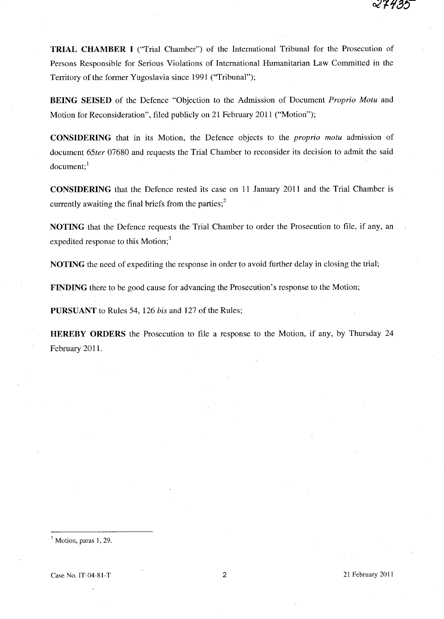**TRIAL CHAMBER I** ("Trial Chamber") of the International Tribunal for the Prosecution of Persons Responsible for Serious Violations of International Humanitarian Law Committed in the Territory of the former Yugoslavia since 1991 ("Tribunal");

**BEING SEISED** of the Defence "Objection to the Admission of Document *Proprio Motu* and Motion for Reconsideration", filed publicly on 21 February 2011 ("Motion");

**CONSIDERING** that in its Motion, the Defence objects to the *proprio motu* admission of document *65ter* 07680 and requests the Trial Chamber to reconsider its decision to admit the said document:<sup>1</sup>

**CONSIDERING** that the Defence rested its case on 11 January 2011 and the Trial Chamber is currently awaiting the final briefs from the parties;<sup>2</sup>

**NOTING** that the Defence requests the Trial Chamber to order the Prosecution to file, if any, an expedited response to this Motion;<sup>3</sup>

**NOTING** the need of expediting the response in order to avoid further delay in closing the trial;

**FINDING** there to be good cause for advancing the Prosecution's response to the Motion;

**PURSUANT** to Rules 54, 126 *his* and 127 of the Rules;

**HEREBY ORDERS** the Prosecution to file a response to the Motion, if any, by Thursday 24 February 2011.